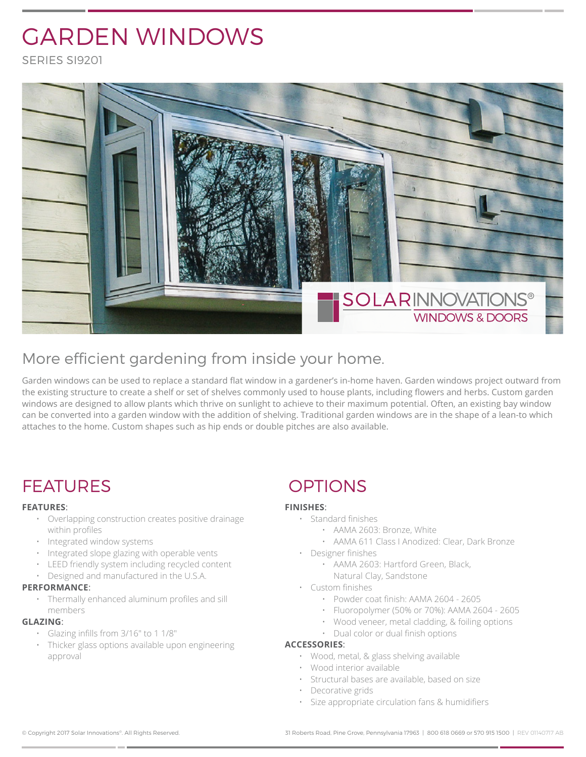# GARDEN WINDOWS

SERIES SI9201



### More efficient gardening from inside your home.

Garden windows can be used to replace a standard flat window in a gardener's in-home haven. Garden windows project outward from the existing structure to create a shelf or set of shelves commonly used to house plants, including flowers and herbs. Custom garden windows are designed to allow plants which thrive on sunlight to achieve to their maximum potential. Often, an existing bay window can be converted into a garden window with the addition of shelving. Traditional garden windows are in the shape of a lean-to which attaches to the home. Custom shapes such as hip ends or double pitches are also available.

## FEATURES OPTIONS

#### **FEATURES**:

- Overlapping construction creates positive drainage within profiles
- Integrated window systems
- Integrated slope glazing with operable vents
- LEED friendly system including recycled content
- Designed and manufactured in the U.S.A.

#### **PERFORMANCE**:

• Thermally enhanced aluminum profiles and sill members

#### **GLAZING**:

- Glazing infills from 3/16" to 1 1/8"
- Thicker glass options available upon engineering approval

#### **FINISHES**:

- Standard finishes
	- AAMA 2603: Bronze, White
	- AAMA 611 Class I Anodized: Clear, Dark Bronze
- Designer finishes
	- AAMA 2603: Hartford Green, Black, Natural Clay, Sandstone
- Custom finishes
	- Powder coat finish: AAMA 2604 2605
	- Fluoropolymer (50% or 70%): AAMA 2604 2605
	- Wood veneer, metal cladding, & foiling options
	- Dual color or dual finish options

#### **ACCESSORIES**:

- Wood, metal, & glass shelving available
- Wood interior available
- Structural bases are available, based on size
- Decorative grids
- Size appropriate circulation fans & humidifiers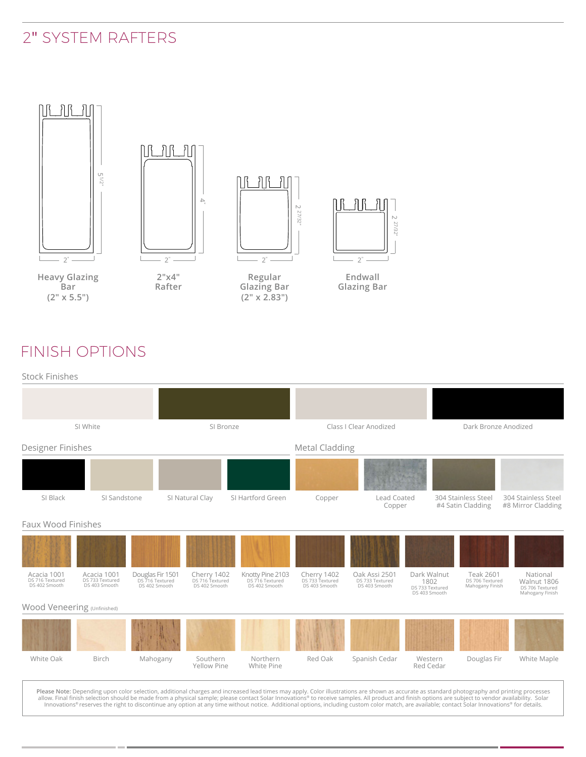### 2" SYSTEM RAFTERS



### FINISH OPTIONS



| SI White                                        |                                                 | SI Bronze                                            |                                                 | Class I Clear Anodized                               |                                                 |                                                                                                                                                                                              | Dark Bronze Anodized                                    |                                                        |                                                               |
|-------------------------------------------------|-------------------------------------------------|------------------------------------------------------|-------------------------------------------------|------------------------------------------------------|-------------------------------------------------|----------------------------------------------------------------------------------------------------------------------------------------------------------------------------------------------|---------------------------------------------------------|--------------------------------------------------------|---------------------------------------------------------------|
| Designer Finishes                               |                                                 |                                                      |                                                 |                                                      | Metal Cladding                                  |                                                                                                                                                                                              |                                                         |                                                        |                                                               |
|                                                 |                                                 |                                                      |                                                 |                                                      |                                                 |                                                                                                                                                                                              |                                                         |                                                        |                                                               |
| SI Black                                        | SI Sandstone                                    |                                                      | SI Natural Clay                                 | SI Hartford Green                                    | Copper                                          | Lead Coated<br>Copper                                                                                                                                                                        |                                                         | 304 Stainless Steel<br>#4 Satin Cladding               | 304 Stainless Steel<br>#8 Mirror Cladding                     |
| Faux Wood Finishes                              |                                                 |                                                      |                                                 |                                                      |                                                 |                                                                                                                                                                                              |                                                         |                                                        |                                                               |
|                                                 |                                                 |                                                      |                                                 |                                                      |                                                 |                                                                                                                                                                                              |                                                         |                                                        |                                                               |
| Acacia 1001<br>DS 716 Textured<br>DS 402 Smooth | Acacia 1001<br>DS 733 Textured<br>DS 403 Smooth | Douglas Fir 1501<br>DS 716 Textured<br>DS 402 Smooth | Cherry 1402<br>DS 716 Textured<br>DS 402 Smooth | Knotty Pine 2103<br>DS 716 Textured<br>DS 402 Smooth | Cherry 1402<br>DS 733 Textured<br>DS 403 Smooth | Oak Assi 2501<br>DS 733 Textured<br>DS 403 Smooth                                                                                                                                            | Dark Walnut<br>1802<br>DS 733 Textured<br>DS 403 Smooth | <b>Teak 2601</b><br>DS 706 Textured<br>Mahogany Finish | National<br>Walnut 1806<br>DS 706 Textured<br>Mahogany Finish |
| Wood Veneering (Unfinished)                     |                                                 |                                                      |                                                 |                                                      |                                                 |                                                                                                                                                                                              |                                                         |                                                        |                                                               |
|                                                 |                                                 |                                                      |                                                 |                                                      |                                                 |                                                                                                                                                                                              |                                                         |                                                        |                                                               |
| White Oak                                       | Birch                                           | Mahogany                                             | Southern<br>Yellow Pine                         | Northern<br>White Pine                               | Red Oak                                         | Spanish Cedar                                                                                                                                                                                | Western<br>Red Cedar                                    | Douglas Fir                                            | White Maple                                                   |
|                                                 |                                                 |                                                      |                                                 |                                                      |                                                 | Please Note: Depending upon color selection, additional charges and increased lead times may apply. Color illustrations are shown as accurate as standard photography and printing processes |                                                         |                                                        |                                                               |

Please Note: Depending upon color selection, additional charges and increased lead times may apply. Color illustrations are shown as accurate as standard photography and printing processes allow. Final finish selection sho